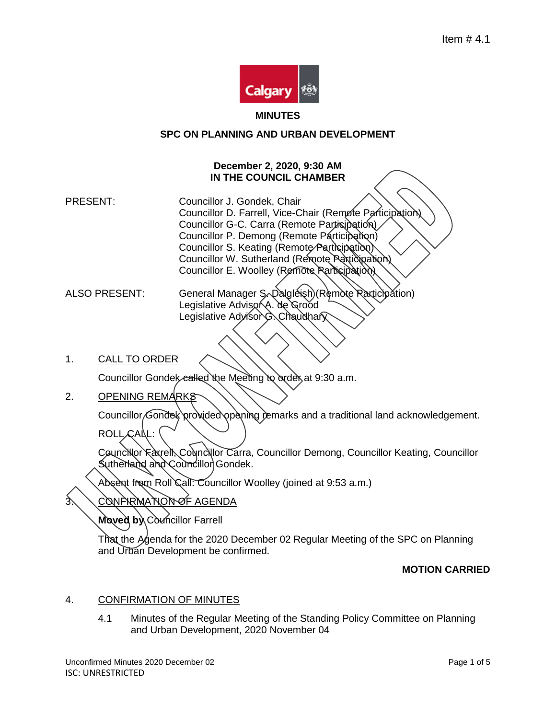

#### **MINUTES**

## **SPC ON PLANNING AND URBAN DEVELOPMENT**

## **December 2, 2020, 9:30 AM IN THE COUNCIL CHAMBER**

PRESENT: Councillor J. Gondek, Chair Councillor D. Farrell, Vice-Chair (Remote Participation) Councillor G-C. Carra (Remote Participation) Councillor P. Demong (Remote Participation) Councillor S. Keating (Remote/Participation) Councillor W. Sutherland (Remote Participation) Councillor E. Woolley (Remote Participation)

ALSO PRESENT: General Manager S Dalgleish (Remote Racticipation) Legislative Advisor A. de Grood Legislative AdvisorG. Chaudhary

1. CALL TO ORDER

Councillor Gondely called the Meeting to order at 9:30 a.m.

2. OPENING REMARKS

Councillor Gondek provided opening temarks and a traditional land acknowledgement.

ROLL CALL:

Councillor Faxrell, Councillor Carra, Councillor Demong, Councillor Keating, Councillor Sutherland and Councillor Gondek.

Absent from Roll Call: Councillor Woolley (joined at 9:53 a.m.)

3. CONFIRMATION OF AGENDA

**Moved by Councillor Farrell** 

That the Agenda for the 2020 December 02 Regular Meeting of the SPC on Planning and Urban Development be confirmed.

# **MOTION CARRIED**

## 4. CONFIRMATION OF MINUTES

4.1 Minutes of the Regular Meeting of the Standing Policy Committee on Planning and Urban Development, 2020 November 04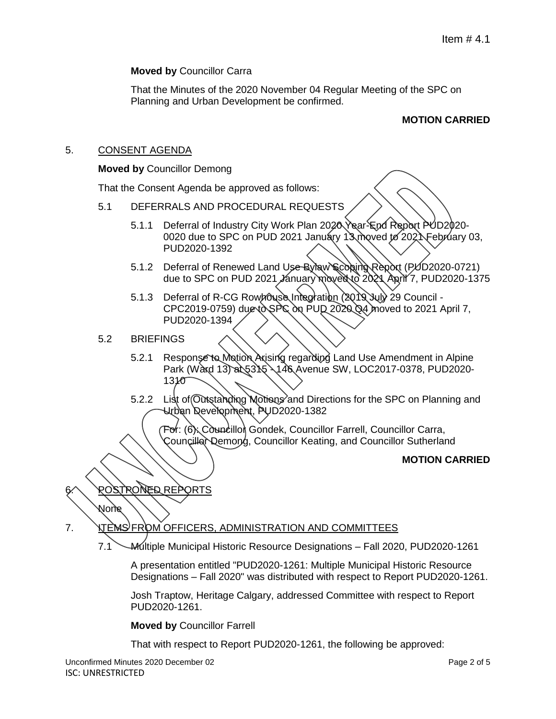## **Moved by** Councillor Carra

That the Minutes of the 2020 November 04 Regular Meeting of the SPC on Planning and Urban Development be confirmed.

# **MOTION CARRIED**

#### 5. CONSENT AGENDA

#### **Moved by** Councillor Demong

That the Consent Agenda be approved as follows:

- 5.1 DEFERRALS AND PROCEDURAL REQUESTS
	- 5.1.1 Deferral of Industry City Work Plan 2020 Year-End Report PUD2020-0020 due to SPC on PUD 2021 January 13 moved to 2021 February 03, PUD2020-1392
	- 5.1.2 Deferral of Renewed Land Use Bylaw Scoping Report (PUD2020-0721) due to SPC on PUD 2021 January moved to 2021, April 7, PUD2020-1375
	- 5.1.3 Deferral of R-CG Rowhouse Integration (2019 July 29 Council -CPC2019-0759) due to SPC on PUD 2020 Q4 moved to 2021 April 7, PUD2020-1394
- 5.2 BRIEFINGS
	- 5.2.1 Response to Motion Arising regarding Land Use Amendment in Alpine Park (Ward 13) at 5315 \146 Avenue SW, LOC2017-0378, PUD2020-1310
	- 5.2.2 List of Outstanding Motions and Directions for the SPC on Planning and Urban Development, PUD2020-1382

For: (6): Councillor Gondek, Councillor Farrell, Councillor Carra, Councillor Demong, Councillor Keating, and Councillor Sutherland

#### **MOTION CARRIED**

ROSTRONED REPORTS

None

7. **ITEMS FROM OFFICERS, ADMINISTRATION AND COMMITTEES** 

7.1 Multiple Municipal Historic Resource Designations – Fall 2020, PUD2020-1261

A presentation entitled "PUD2020-1261: Multiple Municipal Historic Resource Designations – Fall 2020" was distributed with respect to Report PUD2020-1261.

Josh Traptow, Heritage Calgary, addressed Committee with respect to Report PUD2020-1261.

**Moved by** Councillor Farrell

That with respect to Report PUD2020-1261, the following be approved: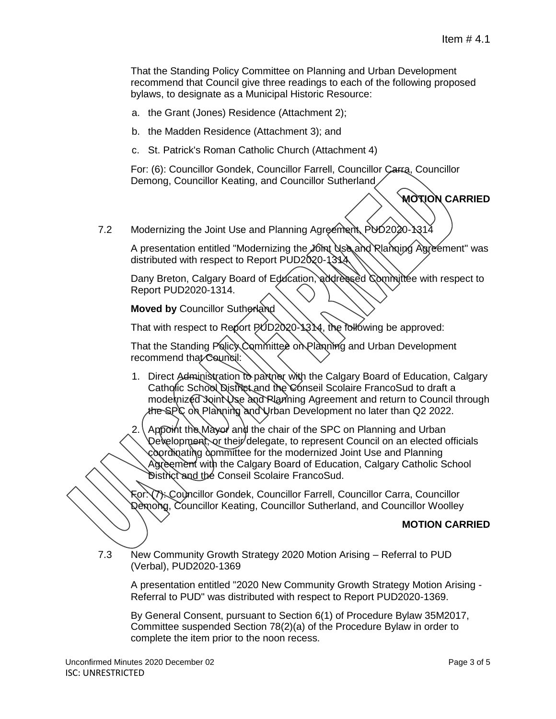That the Standing Policy Committee on Planning and Urban Development recommend that Council give three readings to each of the following proposed bylaws, to designate as a Municipal Historic Resource:

- a. the Grant (Jones) Residence (Attachment 2);
- b. the Madden Residence (Attachment 3); and
- c. St. Patrick's Roman Catholic Church (Attachment 4)

For: (6): Councillor Gondek, Councillor Farrell, Councillor Carra, Councillor Demong, Councillor Keating, and Councillor Sutherland

```
MOTION CARRIED
```
7.2 Modernizing the Joint Use and Planning Agreement, PUD2020-1314

A presentation entitled "Modernizing the Joint Use and Rlanning Agreement" was distributed with respect to Report PUD2020-1314.

Dany Breton, Calgary Board of Education, addressed Committee with respect to Report PUD2020-1314.

**Moved by Councillor Sutherland** 

That with respect to Report PUD2020-1314, the following be approved:

That the Standing Policy Committee on Planning and Urban Development recommend that Council:

- 1. Direct Administration to partner with the Calgary Board of Education, Calgary Catholic School District and the Conseil Scolaire FrancoSud to draft a modernized Joint Use and Planning Agreement and return to Council through the SPC on Planning and Urban Development no later than Q2 2022.
- 2. Appoint the Mayor and the chair of the SPC on Planning and Urban Development, or their delegate, to represent Council on an elected officials coordinating committee for the modernized Joint Use and Planning Agreement with the Calgary Board of Education, Calgary Catholic School District and the Conseil Scolaire FrancoSud.

For: (7): Councillor Gondek, Councillor Farrell, Councillor Carra, Councillor Demong, Councillor Keating, Councillor Sutherland, and Councillor Woolley

## **MOTION CARRIED**

7.3 New Community Growth Strategy 2020 Motion Arising – Referral to PUD (Verbal), PUD2020-1369

A presentation entitled "2020 New Community Growth Strategy Motion Arising - Referral to PUD" was distributed with respect to Report PUD2020-1369.

By General Consent, pursuant to Section 6(1) of Procedure Bylaw 35M2017, Committee suspended Section 78(2)(a) of the Procedure Bylaw in order to complete the item prior to the noon recess.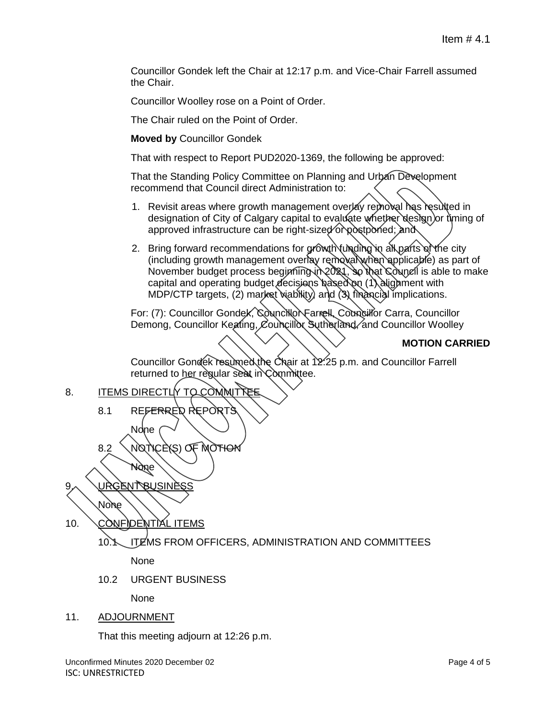Councillor Gondek left the Chair at 12:17 p.m. and Vice-Chair Farrell assumed the Chair.

Councillor Woolley rose on a Point of Order.

The Chair ruled on the Point of Order.

**Moved by** Councillor Gondek

That with respect to Report PUD2020-1369, the following be approved:

That the Standing Policy Committee on Planning and Urban Development recommend that Council direct Administration to:

- 1. Revisit areas where growth management overlay removal has resulted in designation of City of Calgary capital to evaluate whether design or timing of approved infrastructure can be right-sized or postponed; and
- 2. Bring forward recommendations for growth funding in all parts of the city (including growth management overlay removal when applicable) as part of November budget process beginning in 2021, so that Council is able to make capital and operating budget decisions based on (1) alignment with MDP/CTP targets, (2) market viability) and (3) financial implications.

For: (7): Councillor Gondek, Councillor Farrell, Councillor Carra, Councillor Demong, Councillor Keating, Councillor Sutherland, and Councillor Woolley

# **MOTION CARRIED**

Councillor Gondek resumed the Chair at 12:25 p.m. and Councillor Farrell returned to her regular seat in Committee.

8. ITEMS DIRECTLY TO COMMITTEE

8.1 REFERRED REPORTS

8.2 NOTICE(S) OF MOTION

None URGENT BUSINESS

None

10. CONFIDENTIAL ITEMS

None

# 10.1 ITEMS FROM OFFICERS, ADMINISTRATION AND COMMITTEES

None

10.2 URGENT BUSINESS

None

## 11. ADJOURNMENT

That this meeting adjourn at 12:26 p.m.